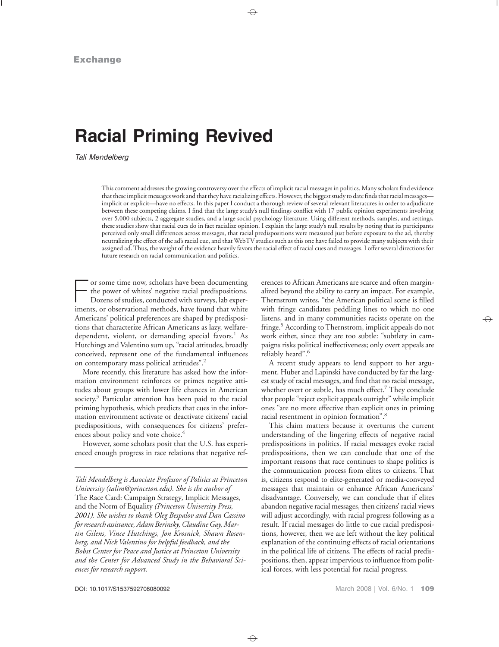# **Racial Priming Revived**

*Tali Mendelberg*

This comment addresses the growing controversy over the effects of implicit racial messages in politics. Many scholars find evidence that these implicit messages work and that they have racializing effects. However, the biggest study to date finds that racial messages implicit or explicit—have no effects. In this paper I conduct a thorough review of several relevant literatures in order to adjudicate between these competing claims. I find that the large study's null findings conflict with 17 public opinion experiments involving over 5,000 subjects, 2 aggregate studies, and a large social psychology literature. Using different methods, samples, and settings, these studies show that racial cues do in fact racialize opinion. I explain the large study's null results by noting that its participants perceived only small differences across messages, that racial predispositions were measured just before exposure to the ad, thereby neutralizing the effect of the ad's racial cue, and that WebTV studies such as this one have failed to provide many subjects with their assigned ad. Thus, the weight of the evidence heavily favors the racial effect of racial cues and messages. I offer several directions for future research on racial communication and politics.

For some time now, scholars have been documenting<br>the power of whites' negative racial predispositions.<br>Dozens of studies, conducted with surveys, lab exper-<br>iments, or observational methods, have found that white or some time now, scholars have been documenting the power of whites' negative racial predispositions. Dozens of studies, conducted with surveys, lab exper-Americans' political preferences are shaped by predispositions that characterize African Americans as lazy, welfaredependent, violent, or demanding special favors.<sup>1</sup> As Hutchings and Valentino sum up, "racial attitudes, broadly conceived, represent one of the fundamental influences on contemporary mass political attitudes".2

More recently, this literature has asked how the information environment reinforces or primes negative attitudes about groups with lower life chances in American society.<sup>3</sup> Particular attention has been paid to the racial priming hypothesis, which predicts that cues in the information environment activate or deactivate citizens' racial predispositions, with consequences for citizens' preferences about policy and vote choice.<sup>4</sup>

However, some scholars posit that the U.S. has experienced enough progress in race relations that negative ref-

*Tali Mendelberg is Associate Professor of Politics at Princeton University (talim@princeton.edu). She is the author of* The Race Card: Campaign Strategy*,* Implicit Messages, and the Norm of Equality *(Princeton University Press, 2001). She wishes to thank Oleg Bespalov and Dan Cassino for research assistance, Adam Berinsky, Claudine Gay, Martin Gilens, Vince Hutchings, Jon Krosnick, Shawn Rosenberg, and Nick Valentino for helpful feedback, and the Bobst Center for Peace and Justice at Princeton University and the Center for Advanced Study in the Behavioral Sciences for research support.*

erences to African Americans are scarce and often marginalized beyond the ability to carry an impact. For example, Thernstrom writes, "the American political scene is filled with fringe candidates peddling lines to which no one listens, and in many communities racists operate on the fringe.<sup>5</sup> According to Thernstrom, implicit appeals do not work either, since they are too subtle: "subtlety in campaigns risks political ineffectiveness; only overt appeals are reliably heard".6

A recent study appears to lend support to her argument. Huber and Lapinski have conducted by far the largest study of racial messages, and find that no racial message, whether overt or subtle, has much effect.<sup>7</sup> They conclude that people "reject explicit appeals outright" while implicit ones "are no more effective than explicit ones in priming racial resentment in opinion formation".<sup>8</sup>

This claim matters because it overturns the current understanding of the lingering effects of negative racial predispositions in politics. If racial messages evoke racial predispositions, then we can conclude that one of the important reasons that race continues to shape politics is the communication process from elites to citizens. That is, citizens respond to elite-generated or media-conveyed messages that maintain or enhance African Americans' disadvantage. Conversely, we can conclude that if elites abandon negative racial messages, then citizens' racial views will adjust accordingly, with racial progress following as a result. If racial messages do little to cue racial predispositions, however, then we are left without the key political explanation of the continuing effects of racial orientations in the political life of citizens. The effects of racial predispositions, then, appear impervious to influence from political forces, with less potential for racial progress.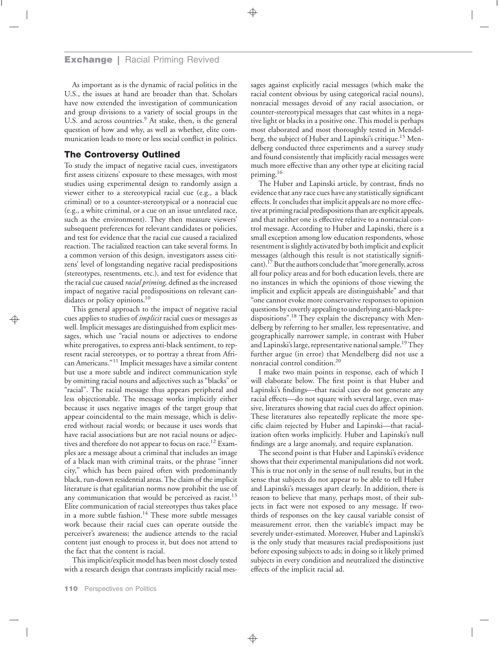As important as is the dynamic of racial politics in the U.S., the issues at hand are broader than that. Scholars have now extended the investigation of communication and group divisions to a variety of social groups in the U.S. and across countries.<sup>9</sup> At stake, then, is the general question of how and why, as well as whether, elite communication leads to more or less social conflict in politics.

## **The Controversy Outlined**

To study the impact of negative racial cues, investigators first assess citizens' exposure to these messages, with most studies using experimental design to randomly assign a viewer either to a stereotypical racial cue (e.g., a black criminal) or to a counter-stereotypical or a nonracial cue (e.g., a white criminal, or a cue on an issue unrelated race, such as the environment). They then measure viewers' subsequent preferences for relevant candidates or policies, and test for evidence that the racial cue caused a racialized reaction. The racialized reaction can take several forms. In a common version of this design, investigators assess citizens' level of longstanding negative racial predispositions (stereotypes, resentments, etc.), and test for evidence that the racial cue caused *racial priming,* defined as the increased impact of negative racial predispositions on relevant candidates or policy opinions.<sup>10</sup>

This general approach to the impact of negative racial cues applies to studies of *implicit* racial cues or messages as well. Implicit messages are distinguished from explicit messages, which use "racial nouns or adjectives to endorse white prerogatives, to express anti-black sentiment, to represent racial stereotypes, or to portray a threat from African Americans."<sup>11</sup> Implicit messages have a similar content but use a more subtle and indirect communication style by omitting racial nouns and adjectives such as "blacks" or "racial". The racial message thus appears peripheral and less objectionable. The message works implicitly either because it uses negative images of the target group that appear coincidental to the main message, which is delivered without racial words; or because it uses words that have racial associations but are not racial nouns or adjectives and therefore do not appear to focus on race.<sup>12</sup> Examples are a message about a criminal that includes an image of a black man with criminal traits, or the phrase "inner city," which has been paired often with predominantly black, run-down residential areas. The claim of the implicit literature is that egalitarian norms now prohibit the use of any communication that would be perceived as racist.<sup>13</sup> Elite communication of racial stereotypes thus takes place in a more subtle fashion.<sup>14</sup> These more subtle messages work because their racial cues can operate outside the perceiver's awareness; the audience attends to the racial content just enough to process it, but does not attend to the fact that the content is racial.

This implicit/explicit model has been most closely tested with a research design that contrasts implicitly racial messages against explicitly racial messages (which make the racial content obvious by using categorical racial nouns), nonracial messages devoid of any racial association, or counter-stereotypical messages that cast whites in a negative light or blacks in a positive one. This model is perhaps most elaborated and most thoroughly tested in Mendelberg, the subject of Huber and Lapinski's critique.<sup>15</sup> Mendelberg conducted three experiments and a survey study and found consistently that implicitly racial messages were much more effective than any other type at eliciting racial priming.16

The Huber and Lapinski article, by contrast, finds no evidence that any race cues have any statistically significant effects. It concludes that implicit appeals are no more effective at priming racial predispositions than are explicit appeals, and that neither one is effective relative to a nonracial control message. According to Huber and Lapinski, there is a small exception among low education respondents, whose resentment is slightly activated by both implicit and explicit messages (although this result is not statistically significant).17 But the authors conclude that "more generally, across all four policy areas and for both education levels, there are no instances in which the opinions of those viewing the implicit and explicit appeals are distinguishable" and that "one cannot evoke more conservative responses to opinion questions by covertly appealing to underlying anti-black predispositions".18 They explain the discrepancy with Mendelberg by referring to her smaller, less representative, and geographically narrower sample, in contrast with Huber and Lapinski's large, representative national sample.<sup>19</sup> They further argue (in error) that Mendelberg did not use a nonracial control condition.20

I make two main points in response, each of which I will elaborate below. The first point is that Huber and Lapinski's findings—that racial cues do not generate any racial effects—do not square with several large, even massive, literatures showing that racial cues do affect opinion. These literatures also repeatedly replicate the more specific claim rejected by Huber and Lapinski—that racialization often works implicitly. Huber and Lapinski's null findings are a large anomaly, and require explanation.

The second point is that Huber and Lapinski's evidence shows that their experimental manipulations did not work. This is true not only in the sense of null results, but in the sense that subjects do not appear to be able to tell Huber and Lapinski's messages apart clearly. In addition, there is reason to believe that many, perhaps most, of their subjects in fact were not exposed to any message. If twothirds of responses on the key causal variable consist of measurement error, then the variable's impact may be severely under-estimated. Moreover, Huber and Lapinski's is the only study that measures racial predispositions just before exposing subjects to ads; in doing so it likely primed subjects in every condition and neutralized the distinctive effects of the implicit racial ad.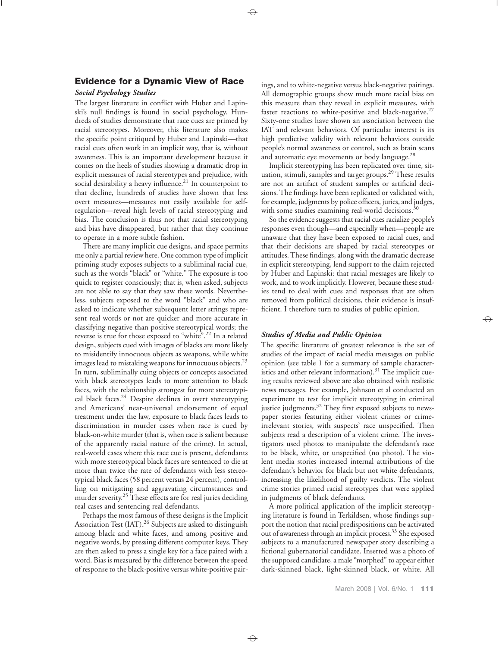## **Evidence for a Dynamic View of Race**

### *Social Psychology Studies*

The largest literature in conflict with Huber and Lapinski's null findings is found in social psychology. Hundreds of studies demonstrate that race cues are primed by racial stereotypes. Moreover, this literature also makes the specific point critiqued by Huber and Lapinski—that racial cues often work in an implicit way, that is, without awareness. This is an important development because it comes on the heels of studies showing a dramatic drop in explicit measures of racial stereotypes and prejudice, with social desirability a heavy influence.<sup>21</sup> In counterpoint to that decline, hundreds of studies have shown that less overt measures—measures not easily available for selfregulation—reveal high levels of racial stereotyping and bias. The conclusion is thus not that racial stereotyping and bias have disappeared, but rather that they continue to operate in a more subtle fashion.

There are many implicit cue designs, and space permits me only a partial review here. One common type of implicit priming study exposes subjects to a subliminal racial cue, such as the words "black" or "white." The exposure is too quick to register consciously; that is, when asked, subjects are not able to say that they saw these words. Nevertheless, subjects exposed to the word "black" and who are asked to indicate whether subsequent letter strings represent real words or not are quicker and more accurate in classifying negative than positive stereotypical words; the reverse is true for those exposed to "white".22 In a related design, subjects cued with images of blacks are more likely to misidentify innocuous objects as weapons, while white images lead to mistaking weapons for innocuous objects.<sup>23</sup> In turn, subliminally cuing objects or concepts associated with black stereotypes leads to more attention to black faces, with the relationship strongest for more stereotypical black faces.24 Despite declines in overt stereotyping and Americans' near-universal endorsement of equal treatment under the law, exposure to black faces leads to discrimination in murder cases when race is cued by black-on-white murder (that is, when race is salient because of the apparently racial nature of the crime). In actual, real-world cases where this race cue is present, defendants with more stereotypical black faces are sentenced to die at more than twice the rate of defendants with less stereotypical black faces (58 percent versus 24 percent), controlling on mitigating and aggravating circumstances and murder severity.<sup>25</sup> These effects are for real juries deciding real cases and sentencing real defendants.

Perhaps the most famous of these designs is the Implicit Association Test (IAT).<sup>26</sup> Subjects are asked to distinguish among black and white faces, and among positive and negative words, by pressing different computer keys. They are then asked to press a single key for a face paired with a word. Bias is measured by the difference between the speed of response to the black-positive versus white-positive pairings, and to white-negative versus black-negative pairings. All demographic groups show much more racial bias on this measure than they reveal in explicit measures, with faster reactions to white-positive and black-negative. $27$ Sixty-one studies have shown an association between the IAT and relevant behaviors. Of particular interest is its high predictive validity with relevant behaviors outside people's normal awareness or control, such as brain scans and automatic eye movements or body language.<sup>28</sup>

Implicit stereotyping has been replicated over time, situation, stimuli, samples and target groups.<sup>29</sup> These results are not an artifact of student samples or artificial decisions. The findings have been replicated or validated with, for example, judgments by police officers, juries, and judges, with some studies examining real-world decisions.<sup>30</sup>

So the evidence suggests that racial cues racialize people's responses even though—and especially when—people are unaware that they have been exposed to racial cues, and that their decisions are shaped by racial stereotypes or attitudes. These findings, along with the dramatic decrease in explicit stereotyping, lend support to the claim rejected by Huber and Lapinski: that racial messages are likely to work, and to work implicitly. However, because these studies tend to deal with cues and responses that are often removed from political decisions, their evidence is insufficient. I therefore turn to studies of public opinion.

#### *Studies of Media and Public Opinion*

The specific literature of greatest relevance is the set of studies of the impact of racial media messages on public opinion (see table 1 for a summary of sample characteristics and other relevant information).<sup>31</sup> The implicit cueing results reviewed above are also obtained with realistic news messages. For example, Johnson et al conducted an experiment to test for implicit stereotyping in criminal justice judgments.<sup>32</sup> They first exposed subjects to newspaper stories featuring either violent crimes or crimeirrelevant stories, with suspects' race unspecified. Then subjects read a description of a violent crime. The investigators used photos to manipulate the defendant's race to be black, white, or unspecified (no photo). The violent media stories increased internal attributions of the defendant's behavior for black but not white defendants, increasing the likelihood of guilty verdicts. The violent crime stories primed racial stereotypes that were applied in judgments of black defendants.

A more political application of the implicit stereotyping literature is found in Terkildsen, whose findings support the notion that racial predispositions can be activated out of awareness through an implicit process.<sup>33</sup> She exposed subjects to a manufactured newspaper story describing a fictional gubernatorial candidate. Inserted was a photo of the supposed candidate, a male "morphed" to appear either dark-skinned black, light-skinned black, or white. All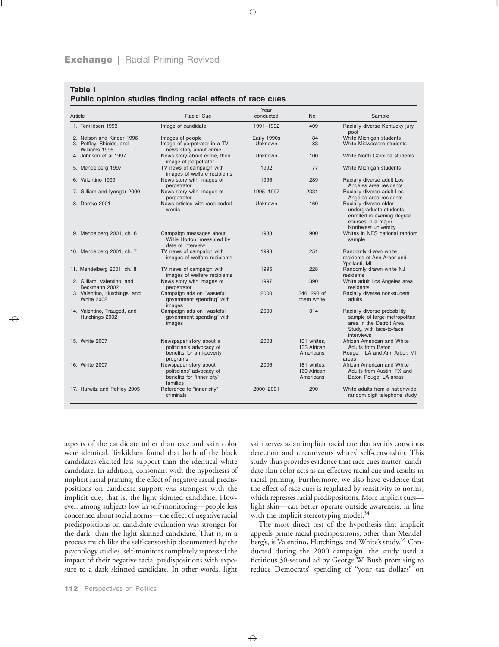| Table 1 |                                                            |  |  |  |  |
|---------|------------------------------------------------------------|--|--|--|--|
|         | Public opinion studies finding racial effects of race cues |  |  |  |  |

| Article                                                                | <b>Racial Cue</b>                                                                            | Year<br>conducted             | <b>No</b>                               | Sample                                                                                                                             |
|------------------------------------------------------------------------|----------------------------------------------------------------------------------------------|-------------------------------|-----------------------------------------|------------------------------------------------------------------------------------------------------------------------------------|
| 1. Terkildsen 1993                                                     | Image of candidate                                                                           | 1991-1992                     | 409                                     | Racially diverse Kentucky jury                                                                                                     |
| 2. Nelson and Kinder 1996<br>3. Peffley, Shields, and<br>Williams 1996 | Images of people<br>Image of perpetrator in a TV<br>news story about crime                   | Early 1990s<br><b>Unknown</b> | 84<br>83                                | pool<br>White Michigan students<br>White Midwestern students                                                                       |
| 4. Johnson et al 1997                                                  | News story about crime, then<br>image of perpetrator                                         | Unknown                       | 100                                     | White North Carolina students                                                                                                      |
| 5. Mendelberg 1997                                                     | TV news of campaign with<br>images of welfare recipients                                     | 1992                          | 77                                      | White Michigan students                                                                                                            |
| 6. Valentino 1999                                                      | News story with images of<br>perpetrator                                                     | 1996                          | 289                                     | Racially diverse adult Los<br>Angeles area residents                                                                               |
| 7. Gilliam and Iyengar 2000                                            | News story with images of<br>perpetrator                                                     | 1995-1997                     | 2331                                    | Racially diverse adult Los<br>Angeles area residents                                                                               |
| 8. Domke 2001                                                          | News articles with race-coded<br>words                                                       | Unknown                       | 160                                     | Racially diverse older<br>undergraduate students<br>enrolled in evening degree<br>courses in a major<br>Northwest university       |
| 9. Mendelberg 2001, ch. 6                                              | Campaign messages about<br>Willie Horton, measured by<br>date of interview                   | 1988                          | 900                                     | Whites in NES national random<br>sample                                                                                            |
| 10. Mendelberg 2001, ch. 7                                             | TV news of campaign with<br>images of welfare recipients                                     | 1993                          | 251                                     | Randomly drawn white<br>residents of Ann Arbor and<br>Ypsilanti, MI                                                                |
| 11. Mendelberg 2001, ch. 8                                             | TV news of campaign with<br>images of welfare recipients                                     | 1995                          | 228                                     | Randomly drawn white NJ<br>residents                                                                                               |
| 12. Gilliam, Valentino, and<br>Beckmann 2002                           | News story with images of<br>perpetrator                                                     | 1997                          | 390                                     | White adult Los Angeles area<br>residents                                                                                          |
| 13. Valentino, Hutchings, and<br><b>White 2002</b>                     | Campaign ads on "wasteful<br>government spending" with<br>images                             | 2000                          | 346, 293 of<br>them white               | Racially diverse non-student<br>adults                                                                                             |
| 14. Valentino, Traugott, and<br>Hutchings 2002                         | Campaign ads on "wasteful<br>government spending" with<br>images                             | 2000                          | 314                                     | Racially diverse probability<br>sample of large metropolitan<br>area in the Detroit Area<br>Study, with face-to-face<br>interviews |
| 15. White 2007                                                         | Newspaper story about a<br>politician's advocacy of<br>benefits for anti-poverty<br>programs | 2003                          | 101 whites.<br>133 African<br>Americans | African American and White<br><b>Adults from Baton</b><br>Rouge, LA and Ann Arbor, MI<br>areas                                     |
| 16. White 2007                                                         | Newspaper story about<br>politicians' advocacy of<br>benefits for "inner city"<br>families   | 2006                          | 181 whites,<br>160 African<br>Americans | African American and White<br>Adults from Austin, TX and<br>Baton Rouge, LA areas                                                  |
| 17. Hurwitz and Peffley 2005                                           | Reference to "inner city"<br>criminals                                                       | 2000-2001                     | 290                                     | White adults from a nationwide<br>random digit telephone study                                                                     |

aspects of the candidate other than race and skin color were identical. Terkildsen found that both of the black candidates elicited less support than the identical white candidate. In addition, consonant with the hypothesis of implicit racial priming, the effect of negative racial predispositions on candidate support was strongest with the implicit cue, that is, the light skinned candidate. However, among subjects low in self-monitoring—people less concerned about social norms—the effect of negative racial predispositions on candidate evaluation was stronger for the dark- than the light-skinned candidate. That is, in a process much like the self-censorship documented by the psychology studies, self-monitors completely repressed the impact of their negative racial predispositions with exposure to a dark skinned candidate. In other words, light skin serves as an implicit racial cue that avoids conscious detection and circumvents whites' self-censorship. This study thus provides evidence that race cues matter: candidate skin color acts as an effective racial cue and results in racial priming. Furthermore, we also have evidence that the effect of race cues is regulated by sensitivity to norms, which represses racial predispositions. More implicit cues light skin—can better operate outside awareness, in line with the implicit stereotyping model.<sup>34</sup>

The most direct test of the hypothesis that implicit appeals prime racial predispositions, other than Mendelberg's, is Valentino, Hutchings, and White's study.<sup>35</sup> Conducted during the 2000 campaign, the study used a fictitious 30-second ad by George W. Bush promising to reduce Democrats' spending of "your tax dollars" on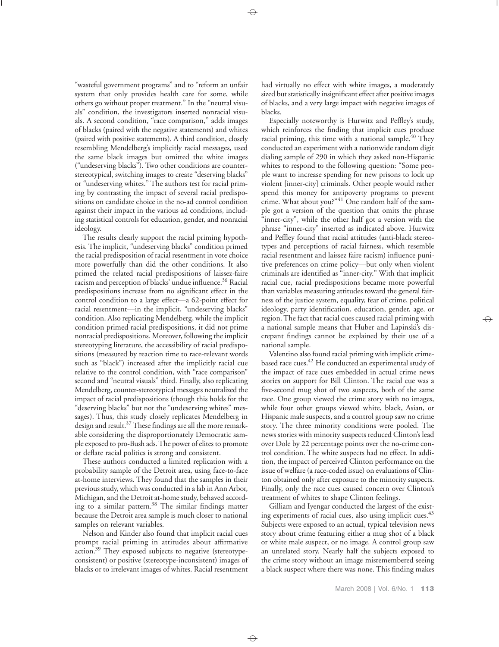"wasteful government programs" and to "reform an unfair system that only provides health care for some, while others go without proper treatment." In the "neutral visuals" condition, the investigators inserted nonracial visuals. A second condition, "race comparison," adds images of blacks (paired with the negative statements) and whites (paired with positive statements). A third condition, closely resembling Mendelberg's implicitly racial messages, used the same black images but omitted the white images ("undeserving blacks"). Two other conditions are counterstereotypical, switching images to create "deserving blacks" or "undeserving whites." The authors test for racial priming by contrasting the impact of several racial predispositions on candidate choice in the no-ad control condition against their impact in the various ad conditions, including statistical controls for education, gender, and nonracial ideology.

The results clearly support the racial priming hypothesis. The implicit, "undeserving blacks" condition primed the racial predisposition of racial resentment in vote choice more powerfully than did the other conditions. It also primed the related racial predispositions of laissez-faire racism and perception of blacks' undue influence.<sup>36</sup> Racial predispositions increase from no significant effect in the control condition to a large effect—a 62-point effect for racial resentment—in the implicit, "undeserving blacks" condition. Also replicating Mendelberg, while the implicit condition primed racial predispositions, it did not prime nonracial predispositions. Moreover, following the implicit stereotyping literature, the accessibility of racial predispositions (measured by reaction time to race-relevant words such as "black") increased after the implicitly racial cue relative to the control condition, with "race comparison" second and "neutral visuals" third. Finally, also replicating Mendelberg, counter-stereotypical messages neutralized the impact of racial predispositions (though this holds for the "deserving blacks" but not the "undeserving whites" messages). Thus, this study closely replicates Mendelberg in design and result.<sup>37</sup> These findings are all the more remarkable considering the disproportionately Democratic sample exposed to pro-Bush ads.The power of elites to promote or deflate racial politics is strong and consistent.

These authors conducted a limited replication with a probability sample of the Detroit area, using face-to-face at-home interviews. They found that the samples in their previous study, which was conducted in a lab in Ann Arbor, Michigan, and the Detroit at-home study, behaved according to a similar pattern. $38$  The similar findings matter because the Detroit area sample is much closer to national samples on relevant variables.

Nelson and Kinder also found that implicit racial cues prompt racial priming in attitudes about affirmative action.<sup>39</sup> They exposed subjects to negative (stereotypeconsistent) or positive (stereotype-inconsistent) images of blacks or to irrelevant images of whites. Racial resentment

had virtually no effect with white images, a moderately sized but statistically insignificant effect after positive images of blacks, and a very large impact with negative images of blacks.

Especially noteworthy is Hurwitz and Peffley's study, which reinforces the finding that implicit cues produce racial priming, this time with a national sample. $40$  They conducted an experiment with a nationwide random digit dialing sample of 290 in which they asked non-Hispanic whites to respond to the following question: "Some people want to increase spending for new prisons to lock up violent [inner-city] criminals. Other people would rather spend this money for antipoverty programs to prevent crime. What about you?"<sup>41</sup> One random half of the sample got a version of the question that omits the phrase "inner-city", while the other half got a version with the phrase "inner-city" inserted as indicated above. Hurwitz and Peffley found that racial attitudes (anti-black stereotypes and perceptions of racial fairness, which resemble racial resentment and laissez faire racism) influence punitive preferences on crime policy—but only when violent criminals are identified as "inner-city." With that implicit racial cue, racial predispositions became more powerful than variables measuring attitudes toward the general fairness of the justice system, equality, fear of crime, political ideology, party identification, education, gender, age, or region. The fact that racial cues caused racial priming with a national sample means that Huber and Lapinski's discrepant findings cannot be explained by their use of a national sample.

Valentino also found racial priming with implicit crimebased race cues.<sup>42</sup> He conducted an experimental study of the impact of race cues embedded in actual crime news stories on support for Bill Clinton. The racial cue was a five-second mug shot of two suspects, both of the same race. One group viewed the crime story with no images, while four other groups viewed white, black, Asian, or Hispanic male suspects, and a control group saw no crime story. The three minority conditions were pooled. The news stories with minority suspects reduced Clinton's lead over Dole by 22 percentage points over the no-crime control condition. The white suspects had no effect. In addition, the impact of perceived Clinton performance on the issue of welfare (a race-coded issue) on evaluations of Clinton obtained only after exposure to the minority suspects. Finally, only the race cues caused concern over Clinton's treatment of whites to shape Clinton feelings.

Gilliam and Iyengar conducted the largest of the existing experiments of racial cues, also using implicit cues.<sup>43</sup> Subjects were exposed to an actual, typical television news story about crime featuring either a mug shot of a black or white male suspect, or no image. A control group saw an unrelated story. Nearly half the subjects exposed to the crime story without an image misremembered seeing a black suspect where there was none. This finding makes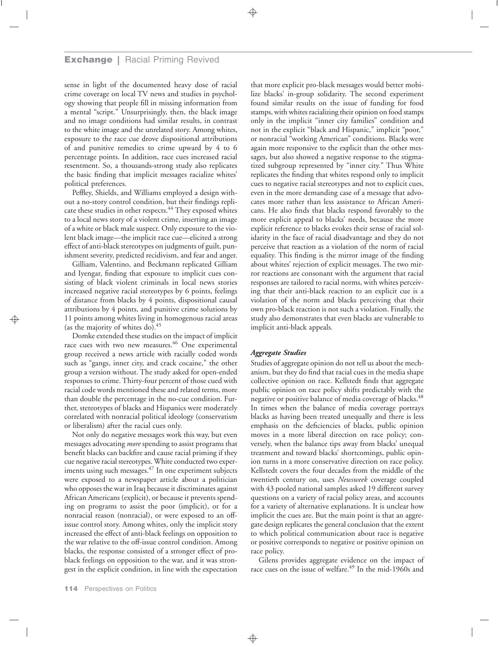## **Exchange |** Racial Priming Revived

sense in light of the documented heavy dose of racial crime coverage on local TV news and studies in psychology showing that people fill in missing information from a mental "script." Unsurprisingly, then, the black image and no image conditions had similar results, in contrast to the white image and the unrelated story. Among whites, exposure to the race cue drove dispositional attributions of and punitive remedies to crime upward by 4 to 6 percentage points. In addition, race cues increased racial resentment. So, a thousands-strong study also replicates the basic finding that implicit messages racialize whites' political preferences.

Peffley, Shields, and Williams employed a design without a no-story control condition, but their findings replicate these studies in other respects.<sup>44</sup> They exposed whites to a local news story of a violent crime, inserting an image of a white or black male suspect. Only exposure to the violent black image—the implicit race cue—elicited a strong effect of anti-black stereotypes on judgments of guilt, punishment severity, predicted recidivism, and fear and anger.

Gilliam, Valentino, and Beckmann replicated Gilliam and Iyengar, finding that exposure to implicit cues consisting of black violent criminals in local news stories increased negative racial stereotypes by 6 points, feelings of distance from blacks by 4 points, dispositional causal attributions by 4 points, and punitive crime solutions by 11 points among whites living in homogenous racial areas (as the majority of whites do).45

Domke extended these studies on the impact of implicit race cues with two new measures.<sup>46</sup> One experimental group received a news article with racially coded words such as "gangs, inner city, and crack cocaine," the other group a version without. The study asked for open-ended responses to crime. Thirty-four percent of those cued with racial code words mentioned these and related terms, more than double the percentage in the no-cue condition. Further, stereotypes of blacks and Hispanics were moderately correlated with nonracial political ideology (conservatism or liberalism) after the racial cues only.

Not only do negative messages work this way, but even messages advocating *more* spending to assist programs that benefit blacks can backfire and cause racial priming if they cue negative racial stereotypes. White conducted two experiments using such messages.<sup>47</sup> In one experiment subjects were exposed to a newspaper article about a politician who opposes the war in Iraq because it discriminates against African Americans (explicit), or because it prevents spending on programs to assist the poor (implicit), or for a nonracial reason (nonracial), or were exposed to an offissue control story. Among whites, only the implicit story increased the effect of anti-black feelings on opposition to the war relative to the off-issue control condition. Among blacks, the response consisted of a stronger effect of problack feelings on opposition to the war, and it was strongest in the explicit condition, in line with the expectation

that more explicit pro-black messages would better mobilize blacks' in-group solidarity. The second experiment found similar results on the issue of funding for food stamps, with whites racializing their opinion on food stamps only in the implicit "inner city families" condition and not in the explicit "black and Hispanic," implicit "poor," or nonracial "working American" conditions. Blacks were again more responsive to the explicit than the other messages, but also showed a negative response to the stigmatized subgroup represented by "inner city." Thus White replicates the finding that whites respond only to implicit cues to negative racial stereotypes and not to explicit cues, even in the more demanding case of a message that advocates more rather than less assistance to African Americans. He also finds that blacks respond favorably to the more explicit appeal to blacks' needs, because the more explicit reference to blacks evokes their sense of racial solidarity in the face of racial disadvantage and they do not perceive that reaction as a violation of the norm of racial equality. This finding is the mirror image of the finding about whites' rejection of explicit messages. The two mirror reactions are consonant with the argument that racial responses are tailored to racial norms, with whites perceiving that their anti-black reaction to an explicit cue is a violation of the norm and blacks perceiving that their own pro-black reaction is not such a violation. Finally, the study also demonstrates that even blacks are vulnerable to implicit anti-black appeals.

#### *Aggregate Studies*

Studies of aggregate opinion do not tell us about the mechanism, but they do find that racial cues in the media shape collective opinion on race. Kellstedt finds that aggregate public opinion on race policy shifts predictably with the negative or positive balance of media coverage of blacks.<sup>48</sup> In times when the balance of media coverage portrays blacks as having been treated unequally and there is less emphasis on the deficiencies of blacks, public opinion moves in a more liberal direction on race policy; conversely, when the balance tips away from blacks' unequal treatment and toward blacks' shortcomings, public opinion turns in a more conservative direction on race policy. Kellstedt covers the four decades from the middle of the twentieth century on, uses *Newsweek* coverage coupled with 43 pooled national samples asked 19 different survey questions on a variety of racial policy areas, and accounts for a variety of alternative explanations. It is unclear how implicit the cues are. But the main point is that an aggregate design replicates the general conclusion that the extent to which political communication about race is negative or positive corresponds to negative or positive opinion on race policy.

Gilens provides aggregate evidence on the impact of race cues on the issue of welfare.<sup>49</sup> In the mid-1960s and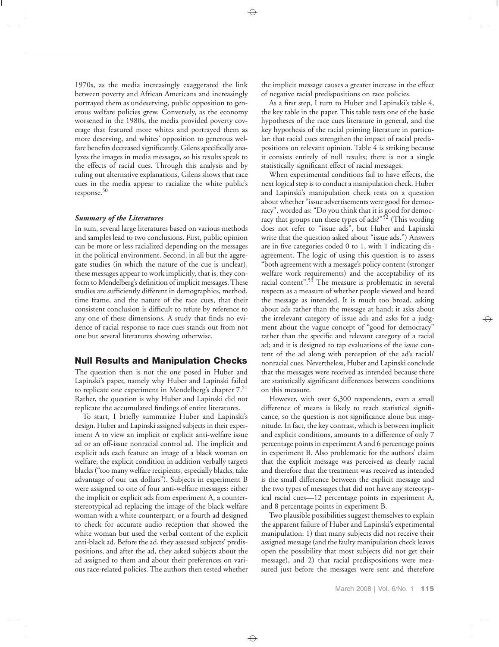1970s, as the media increasingly exaggerated the link between poverty and African Americans and increasingly portrayed them as undeserving, public opposition to generous welfare policies grew. Conversely, as the economy worsened in the 1980s, the media provided poverty coverage that featured more whites and portrayed them as more deserving, and whites' opposition to generous welfare benefits decreased significantly. Gilens specifically analyzes the images in media messages, so his results speak to the effects of racial cues. Through this analysis and by ruling out alternative explanations, Gilens shows that race cues in the media appear to racialize the white public's response.<sup>50</sup>

#### *Summary of the Literatures*

In sum, several large literatures based on various methods and samples lead to two conclusions. First, public opinion can be more or less racialized depending on the messages in the political environment. Second, in all but the aggregate studies (in which the nature of the cue is unclear), these messages appear to work implicitly, that is, they conform to Mendelberg's definition of implicit messages. These studies are sufficiently different in demographics, method, time frame, and the nature of the race cues, that their consistent conclusion is difficult to refute by reference to any one of these dimensions. A study that finds no evidence of racial response to race cues stands out from not one but several literatures showing otherwise.

### **Null Results and Manipulation Checks**

The question then is not the one posed in Huber and Lapinski's paper, namely why Huber and Lapinski failed to replicate one experiment in Mendelberg's chapter 7.<sup>51</sup> Rather, the question is why Huber and Lapinski did not replicate the accumulated findings of entire literatures.

To start, I briefly summarize Huber and Lapinski's design. Huber and Lapinski assigned subjects in their experiment A to view an implicit or explicit anti-welfare issue ad or an off-issue nonracial control ad. The implicit and explicit ads each feature an image of a black woman on welfare; the explicit condition in addition verbally targets blacks ("too many welfare recipients, especially blacks, take advantage of our tax dollars"). Subjects in experiment B were assigned to one of four anti-welfare messages: either the implicit or explicit ads from experiment A, a counterstereotypical ad replacing the image of the black welfare woman with a white counterpart, or a fourth ad designed to check for accurate audio reception that showed the white woman but used the verbal content of the explicit anti-black ad. Before the ad, they assessed subjects' predispositions, and after the ad, they asked subjects about the ad assigned to them and about their preferences on various race-related policies. The authors then tested whether

the implicit message causes a greater increase in the effect of negative racial predispositions on race policies.

As a first step, I turn to Huber and Lapinski's table 4, the key table in the paper. This table tests one of the basic hypotheses of the race cues literature in general, and the key hypothesis of the racial priming literature in particular: that racial cues strengthen the impact of racial predispositions on relevant opinion. Table 4 is striking because it consists entirely of null results; there is not a single statistically significant effect of racial messages.

When experimental conditions fail to have effects, the next logical step is to conduct a manipulation check. Huber and Lapinski's manipulation check rests on a question about whether "issue advertisements were good for democracy", worded as: "Do you think that it is good for democracy that groups run these types of ads?" $52$  (This wording does not refer to "issue ads", but Huber and Lapinski write that the question asked about "issue ads.") Answers are in five categories coded 0 to 1, with 1 indicating disagreement. The logic of using this question is to assess "both agreement with a message's policy content (stronger welfare work requirements) and the acceptability of its racial content".<sup>53</sup> The measure is problematic in several respects as a measure of whether people viewed and heard the message as intended. It is much too broad, asking about ads rather than the message at hand; it asks about the irrelevant category of issue ads and asks for a judgment about the vague concept of "good for democracy" rather than the specific and relevant category of a racial ad; and it is designed to tap evaluations of the issue content of the ad along with perception of the ad's racial/ nonracial cues. Nevertheless, Huber and Lapinski conclude that the messages were received as intended because there are statistically significant differences between conditions on this measure.

However, with over 6,300 respondents, even a small difference of means is likely to reach statistical significance, so the question is not significance alone but magnitude. In fact, the key contrast, which is between implicit and explicit conditions, amounts to a difference of only 7 percentage points in experiment A and 6 percentage points in experiment B. Also problematic for the authors' claim that the explicit message was perceived as clearly racial and therefore that the treatment was received as intended is the small difference between the explicit message and the two types of messages that did not have any stereotypical racial cues—12 percentage points in experiment A, and 8 percentage points in experiment B.

Two plausible possibilities suggest themselves to explain the apparent failure of Huber and Lapinski's experimental manipulation: 1) that many subjects did not receive their assigned message (and the faulty manipulation check leaves open the possibility that most subjects did not get their message), and 2) that racial predispositions were measured just before the messages were sent and therefore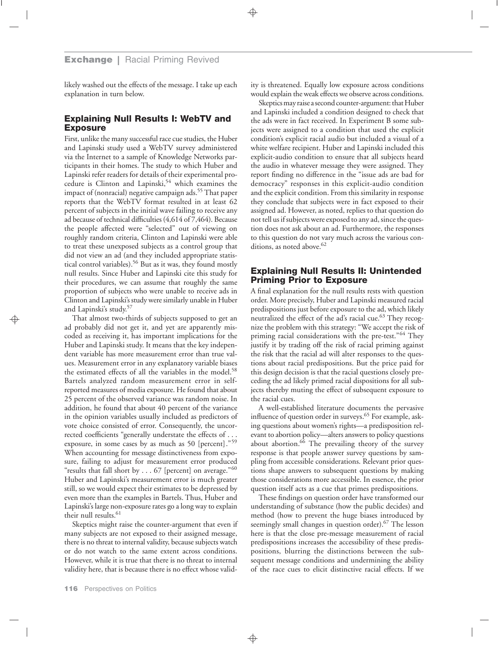likely washed out the effects of the message. I take up each explanation in turn below.

## **Explaining Null Results I: WebTV and Exposure**

First, unlike the many successful race cue studies, the Huber and Lapinski study used a WebTV survey administered via the Internet to a sample of Knowledge Networks participants in their homes. The study to which Huber and Lapinski refer readers for details of their experimental procedure is Clinton and Lapinski,<sup>54</sup> which examines the impact of (nonracial) negative campaign ads.<sup>55</sup> That paper reports that the WebTV format resulted in at least 62 percent of subjects in the initial wave failing to receive any ad because of technical difficulties (4,614 of 7,464). Because the people affected were "selected" out of viewing on roughly random criteria, Clinton and Lapinski were able to treat these unexposed subjects as a control group that did not view an ad (and they included appropriate statistical control variables).<sup>56</sup> But as it was, they found mostly null results. Since Huber and Lapinski cite this study for their procedures, we can assume that roughly the same proportion of subjects who were unable to receive ads in Clinton and Lapinski's study were similarly unable in Huber and Lapinski's study. $57$ 

That almost two-thirds of subjects supposed to get an ad probably did not get it, and yet are apparently miscoded as receiving it, has important implications for the Huber and Lapinski study. It means that the key independent variable has more measurement error than true values. Measurement error in any explanatory variable biases the estimated effects of all the variables in the model.<sup>58</sup> Bartels analyzed random measurement error in selfreported measures of media exposure. He found that about 25 percent of the observed variance was random noise. In addition, he found that about 40 percent of the variance in the opinion variables usually included as predictors of vote choice consisted of error. Consequently, the uncorrected coefficients "generally understate the effects of . . . exposure, in some cases by as much as 50 [percent]."<sup>59</sup> When accounting for message distinctiveness from exposure, failing to adjust for measurement error produced "results that fall short by  $\dots$  67 [percent] on average."<sup>60</sup> Huber and Lapinski's measurement error is much greater still, so we would expect their estimates to be depressed by even more than the examples in Bartels. Thus, Huber and Lapinski's large non-exposure rates go a long way to explain their null results.<sup>61</sup>

Skeptics might raise the counter-argument that even if many subjects are not exposed to their assigned message, there is no threat to internal validity, because subjects watch or do not watch to the same extent across conditions. However, while it is true that there is no threat to internal validity here, that is because there is no effect whose validity is threatened. Equally low exposure across conditions would explain the weak effects we observe across conditions.

Skeptics may raise a second counter-argument: that Huber and Lapinski included a condition designed to check that the ads were in fact received. In Experiment B some subjects were assigned to a condition that used the explicit condition's explicit racial audio but included a visual of a white welfare recipient. Huber and Lapinski included this explicit-audio condition to ensure that all subjects heard the audio in whatever message they were assigned. They report finding no difference in the "issue ads are bad for democracy" responses in this explicit-audio condition and the explicit condition. From this similarity in response they conclude that subjects were in fact exposed to their assigned ad. However, as noted, replies to that question do not tell us if subjects were exposed to any ad, since the question does not ask about an ad. Furthermore, the responses to this question do not vary much across the various conditions, as noted above.<sup>62</sup>

## **Explaining Null Results II: Unintended Priming Prior to Exposure**

A final explanation for the null results rests with question order. More precisely, Huber and Lapinski measured racial predispositions just before exposure to the ad, which likely neutralized the effect of the ad's racial cue.<sup>63</sup> They recognize the problem with this strategy: "We accept the risk of priming racial considerations with the pre-test."<sup>64</sup> They justify it by trading off the risk of racial priming against the risk that the racial ad will alter responses to the questions about racial predispositions. But the price paid for this design decision is that the racial questions closely preceding the ad likely primed racial dispositions for all subjects thereby muting the effect of subsequent exposure to the racial cues.

A well-established literature documents the pervasive influence of question order in surveys.<sup>65</sup> For example, asking questions about women's rights—a predisposition relevant to abortion policy—alters answers to policy questions about abortion. $66$  The prevailing theory of the survey response is that people answer survey questions by sampling from accessible considerations. Relevant prior questions shape answers to subsequent questions by making those considerations more accessible. In essence, the prior question itself acts as a cue that primes predispositions.

These findings on question order have transformed our understanding of substance (how the public decides) and method (how to prevent the huge biases introduced by seemingly small changes in question order).<sup>67</sup> The lesson here is that the close pre-message measurement of racial predispositions increases the accessibility of these predispositions, blurring the distinctions between the subsequent message conditions and undermining the ability of the race cues to elicit distinctive racial effects. If we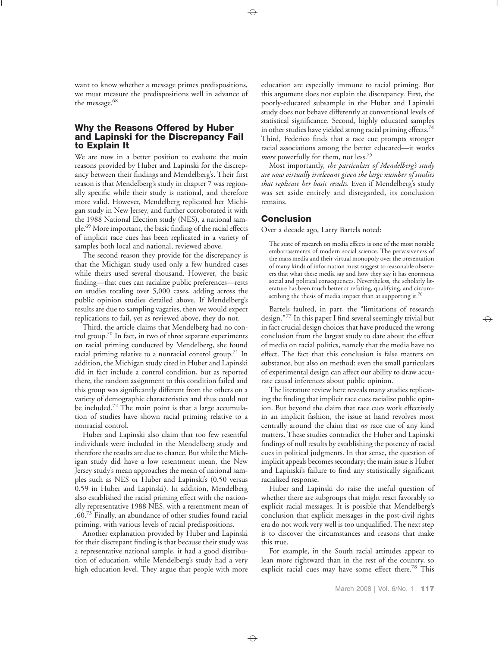want to know whether a message primes predispositions, we must measure the predispositions well in advance of the message.<sup>68</sup>

## **Why the Reasons Offered by Huber and Lapinski for the Discrepancy Fail to Explain It**

We are now in a better position to evaluate the main reasons provided by Huber and Lapinski for the discrepancy between their findings and Mendelberg's. Their first reason is that Mendelberg's study in chapter 7 was regionally specific while their study is national, and therefore more valid. However, Mendelberg replicated her Michigan study in New Jersey, and further corroborated it with the 1988 National Election study (NES), a national sample.69 More important, the basic finding of the racial effects of implicit race cues has been replicated in a variety of samples both local and national, reviewed above.

The second reason they provide for the discrepancy is that the Michigan study used only a few hundred cases while theirs used several thousand. However, the basic finding—that cues can racialize public preferences—rests on studies totaling over 5,000 cases, adding across the public opinion studies detailed above. If Mendelberg's results are due to sampling vagaries, then we would expect replications to fail, yet as reviewed above, they do not.

Third, the article claims that Mendelberg had no control group.70 In fact, in two of three separate experiments on racial priming conducted by Mendelberg, she found racial priming relative to a nonracial control group.<sup>71</sup> In addition, the Michigan study cited in Huber and Lapinski did in fact include a control condition, but as reported there, the random assignment to this condition failed and this group was significantly different from the others on a variety of demographic characteristics and thus could not be included.<sup>72</sup> The main point is that a large accumulation of studies have shown racial priming relative to a nonracial control.

Huber and Lapinski also claim that too few resentful individuals were included in the Mendelberg study and therefore the results are due to chance. But while the Michigan study did have a low resentment mean, the New Jersey study's mean approaches the mean of national samples such as NES or Huber and Lapinski's (0.50 versus 0.59 in Huber and Lapinski). In addition, Mendelberg also established the racial priming effect with the nationally representative 1988 NES, with a resentment mean of  $.60^{73}$  Finally, an abundance of other studies found racial priming, with various levels of racial predispositions.

Another explanation provided by Huber and Lapinski for their discrepant finding is that because their study was a representative national sample, it had a good distribution of education, while Mendelberg's study had a very high education level. They argue that people with more

education are especially immune to racial priming. But this argument does not explain the discrepancy. First, the poorly-educated subsample in the Huber and Lapinski study does not behave differently at conventional levels of statistical significance. Second, highly educated samples in other studies have yielded strong racial priming effects.<sup>74</sup> Third, Federico finds that a race cue prompts stronger racial associations among the better educated—it works *more* powerfully for them, not less.<sup>75</sup>

Most importantly, *the particulars of Mendelberg's study are now virtually irrelevant given the large number of studies that replicate her basic results.* Even if Mendelberg's study was set aside entirely and disregarded, its conclusion remains.

## **Conclusion**

Over a decade ago, Larry Bartels noted:

The state of research on media effects is one of the most notable embarrassments of modern social science. The pervasiveness of the mass media and their virtual monopoly over the presentation of many kinds of information must suggest to reasonable observers that what these media say and how they say it has enormous social and political consequences. Nevertheless, the scholarly literature has been much better at refuting, qualifying, and circumscribing the thesis of media impact than at supporting it.<sup>76</sup>

Bartels faulted, in part, the "limitations of research design."<sup>77</sup> In this paper I find several seemingly trivial but in fact crucial design choices that have produced the wrong conclusion from the largest study to date about the effect of media on racial politics, namely that the media have no effect. The fact that this conclusion is false matters on substance, but also on method: even the small particulars of experimental design can affect our ability to draw accurate causal inferences about public opinion.

The literature review here reveals many studies replicating the finding that implicit race cues racialize public opinion. But beyond the claim that race cues work effectively in an implicit fashion, the issue at hand revolves most centrally around the claim that *no* race cue of any kind matters. These studies contradict the Huber and Lapinski findings of null results by establishing the potency of racial cues in political judgments. In that sense, the question of implicit appeals becomes secondary; the main issue is Huber and Lapinski's failure to find any statistically significant racialized response.

Huber and Lapinski do raise the useful question of whether there are subgroups that might react favorably to explicit racial messages. It is possible that Mendelberg's conclusion that explicit messages in the post-civil rights era do not work very well is too unqualified. The next step is to discover the circumstances and reasons that make this true.

For example, in the South racial attitudes appear to lean more rightward than in the rest of the country, so explicit racial cues may have some effect there.<sup>78</sup> This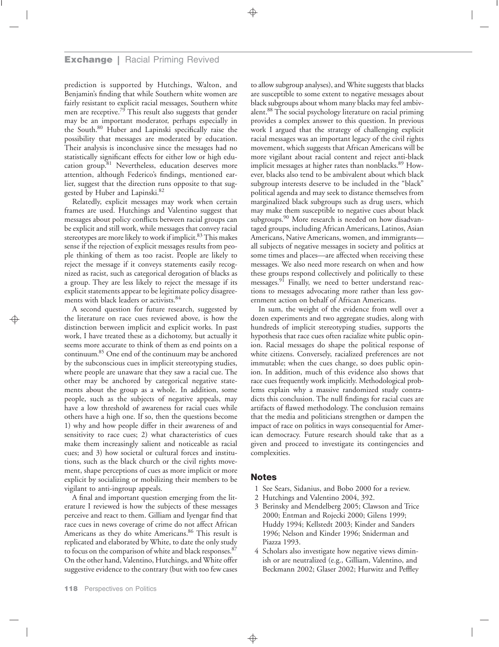## **Exchange |** Racial Priming Revived

prediction is supported by Hutchings, Walton, and Benjamin's finding that while Southern white women are fairly resistant to explicit racial messages, Southern white men are receptive.<sup>79</sup> This result also suggests that gender may be an important moderator, perhaps especially in the South.80 Huber and Lapinski specifically raise the possibility that messages are moderated by education. Their analysis is inconclusive since the messages had no statistically significant effects for either low or high education group.<sup>81</sup> Nevertheless, education deserves more attention, although Federico's findings, mentioned earlier, suggest that the direction runs opposite to that suggested by Huber and Lapinski.<sup>82</sup>

Relatedly, explicit messages may work when certain frames are used. Hutchings and Valentino suggest that messages about policy conflicts between racial groups can be explicit and still work, while messages that convey racial stereotypes are more likely to work if implicit.<sup>83</sup> This makes sense if the rejection of explicit messages results from people thinking of them as too racist. People are likely to reject the message if it conveys statements easily recognized as racist, such as categorical derogation of blacks as a group. They are less likely to reject the message if its explicit statements appear to be legitimate policy disagreements with black leaders or activists.<sup>84</sup>

A second question for future research, suggested by the literature on race cues reviewed above, is how the distinction between implicit and explicit works. In past work, I have treated these as a dichotomy, but actually it seems more accurate to think of them as end points on a continuum.85 One end of the continuum may be anchored by the subconscious cues in implicit stereotyping studies, where people are unaware that they saw a racial cue. The other may be anchored by categorical negative statements about the group as a whole. In addition, some people, such as the subjects of negative appeals, may have a low threshold of awareness for racial cues while others have a high one. If so, then the questions become 1) why and how people differ in their awareness of and sensitivity to race cues; 2) what characteristics of cues make them increasingly salient and noticeable as racial cues; and 3) how societal or cultural forces and institutions, such as the black church or the civil rights movement, shape perceptions of cues as more implicit or more explicit by socializing or mobilizing their members to be vigilant to anti-ingroup appeals.

A final and important question emerging from the literature I reviewed is how the subjects of these messages perceive and react to them. Gilliam and Iyengar find that race cues in news coverage of crime do not affect African Americans as they do white Americans.<sup>86</sup> This result is replicated and elaborated by White, to date the only study to focus on the comparison of white and black responses.<sup>87</sup> On the other hand, Valentino, Hutchings, and White offer suggestive evidence to the contrary (but with too few cases

black subgroups about whom many blacks may feel ambivalent.88 The social psychology literature on racial priming provides a complex answer to this question. In previous work I argued that the strategy of challenging explicit racial messages was an important legacy of the civil rights movement, which suggests that African Americans will be more vigilant about racial content and reject anti-black implicit messages at higher rates than nonblacks.<sup>89</sup> However, blacks also tend to be ambivalent about which black subgroup interests deserve to be included in the "black" political agenda and may seek to distance themselves from marginalized black subgroups such as drug users, which may make them susceptible to negative cues about black subgroups.<sup>90</sup> More research is needed on how disadvantaged groups, including African Americans, Latinos, Asian Americans, Native Americans, women, and immigrants all subjects of negative messages in society and politics at some times and places—are affected when receiving these messages. We also need more research on when and how these groups respond collectively and politically to these messages.<sup>91</sup> Finally, we need to better understand reactions to messages advocating more rather than less government action on behalf of African Americans.

to allow subgroup analyses), and White suggests that blacks are susceptible to some extent to negative messages about

In sum, the weight of the evidence from well over a dozen experiments and two aggregate studies, along with hundreds of implicit stereotyping studies, supports the hypothesis that race cues often racialize white public opinion. Racial messages do shape the political response of white citizens. Conversely, racialized preferences are not immutable; when the cues change, so does public opinion. In addition, much of this evidence also shows that race cues frequently work implicitly. Methodological problems explain why a massive randomized study contradicts this conclusion. The null findings for racial cues are artifacts of flawed methodology. The conclusion remains that the media and politicians strengthen or dampen the impact of race on politics in ways consequential for American democracy. Future research should take that as a given and proceed to investigate its contingencies and complexities.

### **Notes**

- 1 See Sears, Sidanius, and Bobo 2000 for a review.
- 2 Hutchings and Valentino 2004, 392.
- 3 Berinsky and Mendelberg 2005; Clawson and Trice 2000; Entman and Rojecki 2000; Gilens 1999; Huddy 1994; Kellstedt 2003; Kinder and Sanders 1996; Nelson and Kinder 1996; Sniderman and Piazza 1993.
- 4 Scholars also investigate how negative views diminish or are neutralized (e.g., Gilliam, Valentino, and Beckmann 2002; Glaser 2002; Hurwitz and Peffley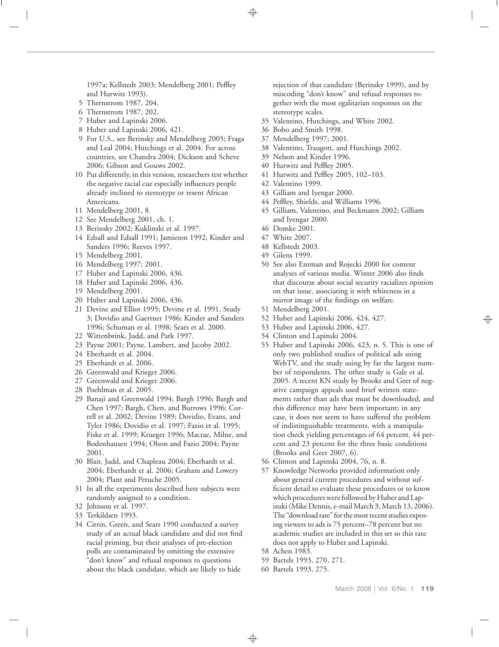1997a; Kellstedt 2003; Mendelberg 2001; Peffley and Hurwitz 1993).

- 5 Thernstrom 1987, 204.
- 6 Thernstrom 1987, 202.
- 7 Huber and Lapinski 2006.
- 8 Huber and Lapinski 2006, 421.
- 9 For U.S., see Berinsky and Mendelberg 2005; Fraga and Leal 2004; Hutchings et al. 2004. For across countries, see Chandra 2004; Dickson and Scheve 2006; Gibson and Gouws 2002.
- 10 Put differently, in this version, researchers test whether the negative racial cue especially influences people already inclined to stereotype or resent African Americans.
- 11 Mendelberg 2001, 8.
- 12 See Mendelberg 2001, ch. 1.
- 13 Berinsky 2002; Kuklinski et al. 1997.
- 14 Edsall and Edsall 1991; Jamieson 1992; Kinder and Sanders 1996; Reeves 1997.
- 15 Mendelberg 2001.
- 16 Mendelberg 1997; 2001.
- 17 Huber and Lapinski 2006, 436.
- 18 Huber and Lapinski 2006, 436.
- 19 Mendelberg 2001.
- 20 Huber and Lapinski 2006, 436.
- 21 Devine and Elliot 1995; Devine et al. 1991, Study 3; Dovidio and Gaertner 1986; Kinder and Sanders 1996; Schuman et al. 1998; Sears et al. 2000.
- 22 Wittenbrink, Judd, and Park 1997.
- 23 Payne 2001; Payne, Lambert, and Jacoby 2002.
- 24 Eberhardt et al. 2004.
- 25 Eberhardt et al. 2006.
- 26 Greenwald and Krieger 2006.
- 27 Greenwald and Krieger 2006.
- 28 Poehlman et al. 2005.
- 29 Banaji and Greenwald 1994; Bargh 1996; Bargh and Chen 1997; Bargh, Chen, and Burrows 1996; Correll et al. 2002; Devine 1989; Dovidio, Evans, and Tyler 1986; Dovidio et al. 1997; Fazio et al. 1995; Fiske et al. 1999; Krueger 1996; Macrae, Milne, and Bodenhausen 1994; Olson and Fazio 2004; Payne 2001.
- 30 Blair, Judd, and Chapleau 2004; Eberhardt et al. 2004; Eberhardt et al. 2006; Graham and Lowery 2004; Plant and Peruche 2005.
- 31 In all the experiments described here subjects were randomly assigned to a condition.
- 32 Johnson et al. 1997.
- 33 Terkildsen 1993.
- 34 Citrin, Green, and Sears 1990 conducted a survey study of an actual black candidate and did not find racial priming, but their analyses of pre-election polls are contaminated by omitting the extensive "don't know" and refusal responses to questions about the black candidate, which are likely to hide

rejection of that candidate (Berinsky 1999), and by miscoding "don't know" and refusal responses together with the most egalitarian responses on the stereotype scales.

- 35 Valentino, Hutchings, and White 2002.
- 36 Bobo and Smith 1998.
- 37 Mendelberg 1997; 2001.
- 38 Valentino, Traugott, and Hutchings 2002.
- 39 Nelson and Kinder 1996.
- 40 Hurwitz and Peffley 2005.
- 41 Hurwitz and Peffley 2005, 102–103.
- 42 Valentino 1999.
- 43 Gilliam and Iyengar 2000.
- 44 Peffley, Shields, and Williams 1996.
- 45 Gilliam, Valentino, and Beckmann 2002; Gilliam and Iyengar 2000.
- 46 Domke 2001.
- 47 White 2007.
- 48 Kellstedt 2003.
- 49 Gilens 1999.
- 50 See also Entman and Rojecki 2000 for content analyses of various media. Winter 2006 also finds that discourse about social security racializes opinion on that issue, associating it with whiteness in a mirror image of the findings on welfare.
- 51 Mendelberg 2001.
- 52 Huber and Lapinski 2006, 424, 427.
- 53 Huber and Lapinski 2006, 427.
- 54 Clinton and Lapinski 2004.
- 55 Huber and Lapinski 2006, 423, n. 5. This is one of only two published studies of political ads using WebTV, and the study using by far the largest number of respondents. The other study is Gale et al. 2005. A recent KN study by Brooks and Geer of negative campaign appeals used brief written statements rather than ads that must be downloaded, and this difference may have been important; in any case, it does not seem to have suffered the problem of indistinguishable treatments, with a manipulation check yielding percentages of 64 percent, 44 percent and 23 percent for the three basic conditions (Brooks and Geer 2007, 6).
- 56 Clinton and Lapinski 2004, 76, n. 8.
- 57 Knowledge Networks provided information only about general current procedures and without sufficient detail to evaluate these procedures or to know which procedures were followed by Huber and Lapinski (Mike Dennis, e-mail March 3, March 13, 2006). The "download rate" for the most recent studies exposing viewers to ads is 75 percent–78 percent but no academic studies are included in this set so this rate does not apply to Huber and Lapinski.
- 58 Achen 1983.
- 59 Bartels 1993, 270, 271.
- 60 Bartels 1993, 275.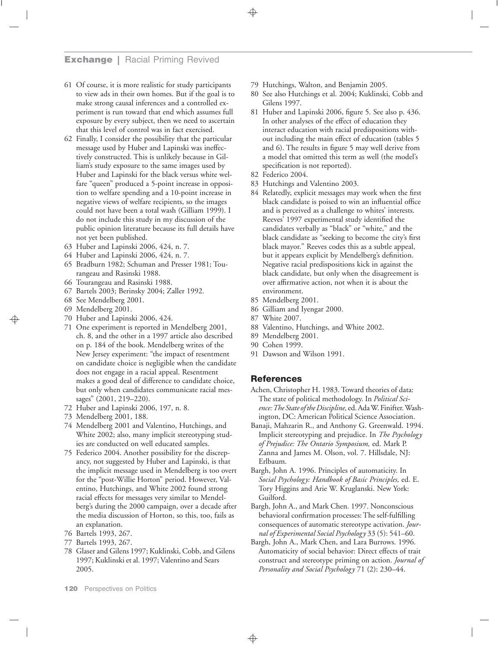- 61 Of course, it is more realistic for study participants to view ads in their own homes. But if the goal is to make strong causal inferences and a controlled experiment is run toward that end which assumes full exposure by every subject, then we need to ascertain that this level of control was in fact exercised.
- 62 Finally, I consider the possibility that the particular message used by Huber and Lapinski was ineffectively constructed. This is unlikely because in Gilliam's study exposure to the same images used by Huber and Lapinski for the black versus white welfare "queen" produced a 5-point increase in opposition to welfare spending and a 10-point increase in negative views of welfare recipients, so the images could not have been a total wash (Gilliam 1999). I do not include this study in my discussion of the public opinion literature because its full details have not yet been published.
- 63 Huber and Lapinski 2006, 424, n. 7.
- 64 Huber and Lapinski 2006, 424, n. 7.
- 65 Bradburn 1982; Schuman and Presser 1981; Tourangeau and Rasinski 1988.
- 66 Tourangeau and Rasinski 1988.
- 67 Bartels 2003; Berinsky 2004; Zaller 1992.
- 68 See Mendelberg 2001.
- 69 Mendelberg 2001.
- 70 Huber and Lapinski 2006, 424.
- 71 One experiment is reported in Mendelberg 2001, ch. 8, and the other in a 1997 article also described on p. 184 of the book. Mendelberg writes of the New Jersey experiment: "the impact of resentment on candidate choice is negligible when the candidate does not engage in a racial appeal. Resentment makes a good deal of difference to candidate choice, but only when candidates communicate racial messages" (2001, 219–220).
- 72 Huber and Lapinski 2006, 197, n. 8.
- 73 Mendelberg 2001, 188.
- 74 Mendelberg 2001 and Valentino, Hutchings, and White 2002; also, many implicit stereotyping studies are conducted on well educated samples.
- 75 Federico 2004. Another possibility for the discrepancy, not suggested by Huber and Lapinski, is that the implicit message used in Mendelberg is too overt for the "post-Willie Horton" period. However, Valentino, Hutchings, and White 2002 found strong racial effects for messages very similar to Mendelberg's during the 2000 campaign, over a decade after the media discussion of Horton, so this, too, fails as an explanation.
- 76 Bartels 1993, 267.
- 77 Bartels 1993, 267.
- 78 Glaser and Gilens 1997; Kuklinski, Cobb, and Gilens 1997; Kuklinski et al. 1997; Valentino and Sears 2005.
- 79 Hutchings, Walton, and Benjamin 2005.
- 80 See also Hutchings et al. 2004; Kuklinski, Cobb and Gilens 1997.
- 81 Huber and Lapinski 2006, figure 5. See also p. 436. In other analyses of the effect of education they interact education with racial predispositions without including the main effect of education (tables 5 and 6). The results in figure 5 may well derive from a model that omitted this term as well (the model's specification is not reported).
- 82 Federico 2004.
- 83 Hutchings and Valentino 2003.
- 84 Relatedly, explicit messages may work when the first black candidate is poised to win an influential office and is perceived as a challenge to whites' interests. Reeves' 1997 experimental study identified the candidates verbally as "black" or "white," and the black candidate as "seeking to become the city's first black mayor." Reeves codes this as a subtle appeal, but it appears explicit by Mendelberg's definition. Negative racial predispositions kick in against the black candidate, but only when the disagreement is over affirmative action, not when it is about the environment.
- 85 Mendelberg 2001.
- 86 Gilliam and Iyengar 2000.
- 87 White 2007.
- 88 Valentino, Hutchings, and White 2002.
- 89 Mendelberg 2001.
- 90 Cohen 1999.
- 91 Dawson and Wilson 1991.

## **References**

- Achen, Christopher H. 1983. Toward theories of data: The state of political methodology. In *Political Science:The State of the Discipline,*ed. AdaW. Finifter.Washington, DC: American Political Science Association.
- Banaji, Mahzarin R., and Anthony G. Greenwald. 1994. Implicit stereotyping and prejudice. In *The Psychology of Prejudice: The Ontario Symposium,* ed. Mark P. Zanna and James M. Olson, vol. 7. Hillsdale, NJ: Erlbaum.
- Bargh, John A. 1996. Principles of automaticity. In *Social Psychology: Handbook of Basic Principles,* ed. E. Tory Higgins and Arie W. Kruglanski. New York: Guilford.
- Bargh, John A., and Mark Chen. 1997. Nonconscious behavioral confirmation processes: The self-fulfilling consequences of automatic stereotype activation. *Journal of Experimental Social Psychology* 33 (5): 541–60.
- Bargh, John A., Mark Chen, and Lara Burrows. 1996. Automaticity of social behavior: Direct effects of trait construct and stereotype priming on action. *Journal of Personality and Social Psychology* 71 (2): 230–44.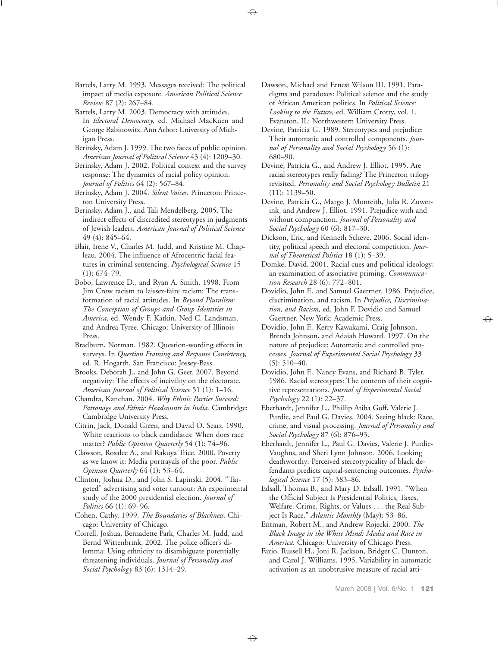Bartels, Larry M. 1993. Messages received: The political impact of media exposure. *American Political Science Review* 87 (2): 267–84.

Bartels, Larry M. 2003. Democracy with attitudes. In *Electoral Democracy,* ed. Michael MacKuen and George Rabinowitz. Ann Arbor: University of Michigan Press.

Berinsky, Adam J. 1999. The two faces of public opinion. *American Journal of Political Science* 43 (4): 1209–30.

Berinsky, Adam J. 2002. Political context and the survey response: The dynamics of racial policy opinion. *Journal of Politics* 64 (2): 567–84.

Berinsky, Adam J. 2004. *Silent Voices.* Princeton: Princeton University Press.

Berinsky, Adam J., and Tali Mendelberg. 2005. The indirect effects of discredited stereotypes in judgments of Jewish leaders. *American Journal of Political Science* 49 (4): 845–64.

Blair, Irene V., Charles M. Judd, and Kristine M. Chapleau. 2004. The influence of Afrocentric facial features in criminal sentencing. *Psychological Science* 15  $(1): 674 - 79.$ 

Bobo, Lawrence D., and Ryan A. Smith. 1998. From Jim Crow racism to laissez-faire racism: The transformation of racial attitudes. In *Beyond Pluralism: The Conception of Groups and Group Identities in America,* ed. Wendy F. Katkin, Ned C. Landsman, and Andrea Tyree. Chicago: University of Illinois Press.

Bradburn, Norman. 1982. Question-wording effects in surveys. In *Question Framing and Response Consistency,* ed. R. Hogarth. San Francisco: Jossey-Bass.

Brooks, Deborah J., and John G. Geer. 2007. Beyond negativity: The effects of incivility on the electorate. *American Journal of Political Science* 51 (1): 1–16.

Chandra, Kanchan. 2004. *Why Ethnic Parties Succeed: Patronage and Ethnic Headcounts in India.* Cambridge: Cambridge University Press.

Citrin, Jack, Donald Green, and David O. Sears. 1990. White reactions to black candidates: When does race matter? *Public Opinion Quarterly* 54 (1): 74–96.

Clawson, Rosalee A., and Rakuya Trice. 2000. Poverty as we know it: Media portrayals of the poor. *Public Opinion Quarterly* 64 (1): 53–64.

Clinton, Joshua D., and John S. Lapinski. 2004. "Targeted" advertising and voter turnout: An experimental study of the 2000 presidential election. *Journal of Politics* 66 (1): 69–96.

Cohen, Cathy. 1999. *The Boundaries of Blackness.* Chicago: University of Chicago.

Correll, Joshua, Bernadette Park, Charles M. Judd, and Bernd Wittenbrink. 2002. The police officer's dilemma: Using ethnicity to disambiguate potentially threatening individuals. *Journal of Personality and Social Psychology* 83 (6): 1314–29.

Dawson, Michael and Ernest Wilson III. 1991. Paradigms and paradoxes: Political science and the study of African American politics. In *Political Science: Looking to the Future,* ed. William Crotty, vol. 1. Evanston, IL: Northwestern University Press.

Devine, Patricia G. 1989. Stereotypes and prejudice: Their automatic and controlled components. *Journal of Personality and Social Psychology* 56 (1): 680–90.

Devine, Patricia G., and Andrew J. Elliot. 1995. Are racial stereotypes really fading? The Princeton trilogy revisited. *Personality and Social Psychology Bulletin* 21 (11): 1139–50.

Devine, Patricia G., Margo J. Monteith, Julia R. Zuwerink, and Andrew J. Elliot. 1991. Prejudice with and without compunction. *Journal of Personality and Social Psychology* 60 (6): 817–30.

Dickson, Eric, and Kenneth Scheve. 2006. Social identity, political speech and electoral competition. *Journal of Theoretical Politics* 18 (1): 5–39.

Domke, David. 2001. Racial cues and political ideology: an examination of associative priming. *Communication Research* 28 (6): 772–801.

Dovidio, John F., and Samuel Gaertner. 1986. Prejudice, discrimination, and racism. In *Prejudice, Discrimination, and Racism,* ed. John F. Dovidio and Samuel Gaertner. New York: Academic Press.

Dovidio, John F., Kerry Kawakami, Craig Johnson, Brenda Johnson, and Adaiah Howard. 1997. On the nature of prejudice: Automatic and controlled processes. *Journal of Experimental Social Psychology* 33  $(5): 510-40.$ 

Dovidio, John F., Nancy Evans, and Richard B. Tyler. 1986. Racial stereotypes: The contents of their cognitive representations. *Journal of Experimental Social Psychology* 22 (1): 22–37.

Eberhardt, Jennifer L., Phillip Atiba Goff, Valerie J. Purdie, and Paul G. Davies. 2004. Seeing black: Race, crime, and visual processing. *Journal of Personality and Social Psychology* 87 (6): 876–93.

Eberhardt, Jennifer L., Paul G. Davies, Valerie J. Purdie-Vaughns, and Sheri Lynn Johnson. 2006. Looking deathworthy: Perceived stereotypicality of black defendants predicts capital-sentencing outcomes. *Psychological Science* 17 (5): 383–86.

Edsall, Thomas B., and Mary D. Edsall. 1991. "When the Official Subject Is Presidential Politics, Taxes, Welfare, Crime, Rights, or Values . . . the Real Subject Is Race." *Atlantic Monthly* (May): 53–86.

Entman, Robert M., and Andrew Rojecki. 2000. *The Black Image in the White Mind: Media and Race in America.* Chicago: University of Chicago Press.

Fazio, Russell H., Joni R. Jackson, Bridget C. Dunton, and Carol J. Williams. 1995. Variability in automatic activation as an unobtrusive measure of racial atti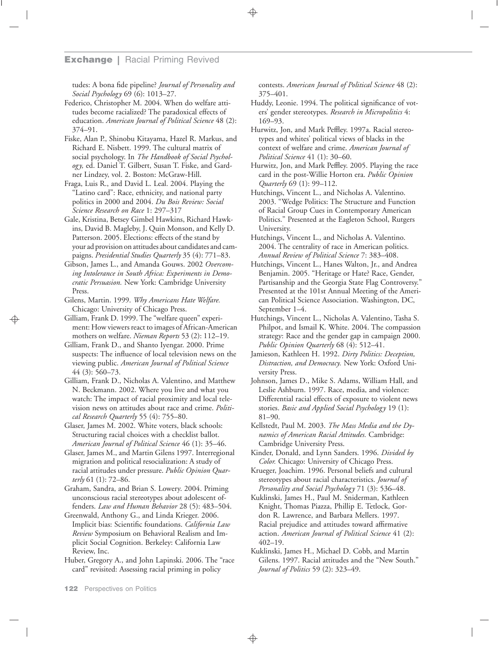tudes: A bona fide pipeline? *Journal of Personality and Social Psychology* 69 (6): 1013–27.

Federico, Christopher M. 2004. When do welfare attitudes become racialized? The paradoxical effects of education. *American Journal of Political Science* 48 (2): 374–91.

- Fiske, Alan P., Shinobu Kitayama, Hazel R. Markus, and Richard E. Nisbett. 1999. The cultural matrix of social psychology. In *The Handbook of Social Psychology,* ed. Daniel T. Gilbert, Susan T. Fiske, and Gardner Lindzey, vol. 2. Boston: McGraw-Hill.
- Fraga, Luis R., and David L. Leal. 2004. Playing the "Latino card": Race, ethnicity, and national party politics in 2000 and 2004. *Du Bois Review: Social Science Research on Race* 1: 297–317

Gale, Kristina, Betsey Gimbel Hawkins, Richard Hawkins, David B. Magleby, J. Quin Monson, and Kelly D. Patterson. 2005. Elections: effects of the stand by your ad provision on attitudes about candidates and campaigns. *Presidential Studies Quarterly* 35 (4): 771–83.

Gibson, James L., and Amanda Gouws. 2002 *Overcoming Intolerance in South Africa: Experiments in Democratic Persuasion.* New York: Cambridge University Press.

Gilens, Martin. 1999. *Why Americans Hate Welfare.* Chicago: University of Chicago Press.

Gilliam, Frank D. 1999. The "welfare queen" experiment: How viewers react to images of African-American mothers on welfare. *Nieman Reports* 53 (2): 112–19.

Gilliam, Frank D., and Shanto Iyengar. 2000. Prime suspects: The influence of local television news on the viewing public. *American Journal of Political Science* 44 (3): 560–73.

Gilliam, Frank D., Nicholas A. Valentino, and Matthew N. Beckmann. 2002. Where you live and what you watch: The impact of racial proximity and local television news on attitudes about race and crime. *Political Research Quarterly* 55 (4): 755–80.

Glaser, James M. 2002. White voters, black schools: Structuring racial choices with a checklist ballot. *American Journal of Political Science* 46 (1): 35–46.

Glaser, James M., and Martin Gilens 1997. Interregional migration and political resocialization: A study of racial attitudes under pressure. *Public Opinion Quarterly* 61 (1): 72–86.

Graham, Sandra, and Brian S. Lowery. 2004. Priming unconscious racial stereotypes about adolescent offenders. *Law and Human Behavior* 28 (5): 483–504.

Greenwald, Anthony G., and Linda Krieger. 2006. Implicit bias: Scientific foundations. *California Law Review* Symposium on Behavioral Realism and Implicit Social Cognition. Berkeley: California Law Review, Inc.

Huber, Gregory A., and John Lapinski. 2006. The "race card" revisited: Assessing racial priming in policy

contests. *American Journal of Political Science* 48 (2): 375–401.

Huddy, Leonie. 1994. The political significance of voters' gender stereotypes. *Research in Micropolitics* 4: 169–93.

Hurwitz, Jon, and Mark Peffley. 1997a. Racial stereotypes and whites' political views of blacks in the context of welfare and crime. *American Journal of Political Science* 41 (1): 30–60.

Hurwitz, Jon, and Mark Peffley. 2005. Playing the race card in the post-Willie Horton era. *Public Opinion Quarterly* 69 (1): 99–112.

Hutchings, Vincent L., and Nicholas A. Valentino. 2003. "Wedge Politics: The Structure and Function of Racial Group Cues in Contemporary American Politics." Presented at the Eagleton School, Rutgers University.

Hutchings, Vincent L., and Nicholas A. Valentino. 2004. The centrality of race in American politics. *Annual Review of Political Science* 7: 383–408.

Hutchings, Vincent L., Hanes Walton, Jr., and Andrea Benjamin. 2005. "Heritage or Hate? Race, Gender, Partisanship and the Georgia State Flag Controversy." Presented at the 101st Annual Meeting of the American Political Science Association. Washington, DC, September 1–4.

Hutchings, Vincent L., Nicholas A. Valentino, Tasha S. Philpot, and Ismail K. White. 2004. The compassion strategy: Race and the gender gap in campaign 2000. *Public Opinion Quarterly* 68 (4): 512–41.

Jamieson, Kathleen H. 1992. *Dirty Politics: Deception, Distraction, and Democracy.* New York: Oxford University Press.

Johnson, James D., Mike S. Adams, William Hall, and Leslie Ashburn. 1997. Race, media, and violence: Differential racial effects of exposure to violent news stories. *Basic and Applied Social Psychology* 19 (1): 81–90.

Kellstedt, Paul M. 2003. *The Mass Media and the Dynamics of American Racial Attitudes.* Cambridge: Cambridge University Press.

Kinder, Donald, and Lynn Sanders. 1996. *Divided by Color.* Chicago: University of Chicago Press.

Krueger, Joachim. 1996. Personal beliefs and cultural stereotypes about racial characteristics. *Journal of Personality and Social Psychology* 71 (3): 536–48.

Kuklinski, James H., Paul M. Sniderman, Kathleen Knight, Thomas Piazza, Phillip E. Tetlock, Gordon R. Lawrence, and Barbara Mellers. 1997. Racial prejudice and attitudes toward affirmative action. *American Journal of Political Science* 41 (2): 402–19.

Kuklinski, James H., Michael D. Cobb, and Martin Gilens. 1997. Racial attitudes and the "New South." *Journal of Politics* 59 (2): 323–49.